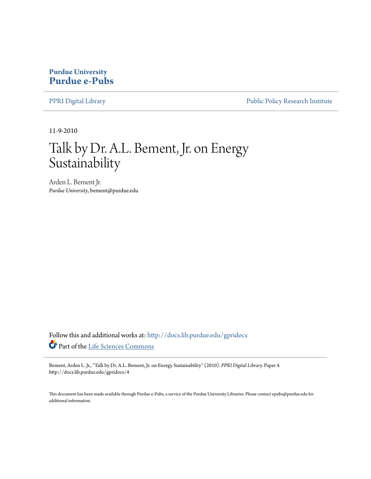# **Purdue University [Purdue e-Pubs](http://docs.lib.purdue.edu?utm_source=docs.lib.purdue.edu%2Fgpridocs%2F4&utm_medium=PDF&utm_campaign=PDFCoverPages)**

[PPRI Digital Library](http://docs.lib.purdue.edu/gpridocs?utm_source=docs.lib.purdue.edu%2Fgpridocs%2F4&utm_medium=PDF&utm_campaign=PDFCoverPages) **[Public Policy Research Institute](http://docs.lib.purdue.edu/gpri?utm_source=docs.lib.purdue.edu%2Fgpridocs%2F4&utm_medium=PDF&utm_campaign=PDFCoverPages)** 

11-9-2010

# Talk by Dr. A.L. Bement, Jr. on Energy Sustainability

Arden L. Bement Jr. *Purdue University*, bement@purdue.edu

Follow this and additional works at: [http://docs.lib.purdue.edu/gpridocs](http://docs.lib.purdue.edu/gpridocs?utm_source=docs.lib.purdue.edu%2Fgpridocs%2F4&utm_medium=PDF&utm_campaign=PDFCoverPages) Part of the [Life Sciences Commons](http://network.bepress.com/hgg/discipline/1016?utm_source=docs.lib.purdue.edu%2Fgpridocs%2F4&utm_medium=PDF&utm_campaign=PDFCoverPages)

Bement, Arden L. Jr., "Talk by Dr. A.L. Bement, Jr. on Energy Sustainability" (2010). *PPRI Digital Library.* Paper 4. http://docs.lib.purdue.edu/gpridocs/4

This document has been made available through Purdue e-Pubs, a service of the Purdue University Libraries. Please contact epubs@purdue.edu for additional information.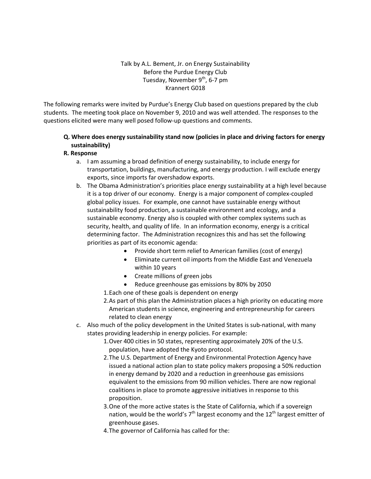#### Talk by A.L. Bement, Jr. on Energy Sustainability Before the Purdue Energy Club Tuesday, November  $9<sup>th</sup>$ , 6-7 pm Krannert G018

The following remarks were invited by Purdue's Energy Club based on questions prepared by the club students. The meeting took place on November 9, 2010 and was well attended. The responses to the questions elicited were many well posed follow-up questions and comments.

# Q. Where does energy sustainability stand now (policies in place and driving factors for energy sustainability)

#### R. Response

- a. I am assuming a broad definition of energy sustainability, to include energy for transportation, buildings, manufacturing, and energy production. I will exclude energy exports, since imports far overshadow exports.
- b. The Obama Administration's priorities place energy sustainability at a high level because it is a top driver of our economy. Energy is a major component of complex-coupled global policy issues. For example, one cannot have sustainable energy without sustainability food production, a sustainable environment and ecology, and a sustainable economy. Energy also is coupled with other complex systems such as security, health, and quality of life. In an information economy, energy is a critical determining factor. The Administration recognizes this and has set the following priorities as part of its economic agenda:
	- Provide short term relief to American families (cost of energy)
	- Eliminate current oil imports from the Middle East and Venezuela within 10 years
	- Create millions of green jobs
	- Reduce greenhouse gas emissions by 80% by 2050
	- 1.Each one of these goals is dependent on energy
	- 2.As part of this plan the Administration places a high priority on educating more American students in science, engineering and entrepreneurship for careers related to clean energy
- c. Also much of the policy development in the United States is sub-national, with many states providing leadership in energy policies. For example:
	- 1.Over 400 cities in 50 states, representing approximately 20% of the U.S. population, have adopted the Kyoto protocol.
	- 2.The U.S. Department of Energy and Environmental Protection Agency have issued a national action plan to state policy makers proposing a 50% reduction in energy demand by 2020 and a reduction in greenhouse gas emissions equivalent to the emissions from 90 million vehicles. There are now regional coalitions in place to promote aggressive initiatives in response to this proposition.
	- 3.One of the more active states is the State of California, which if a sovereign nation, would be the world's  $7<sup>th</sup>$  largest economy and the 12<sup>th</sup> largest emitter of greenhouse gases.
	- 4.The governor of California has called for the: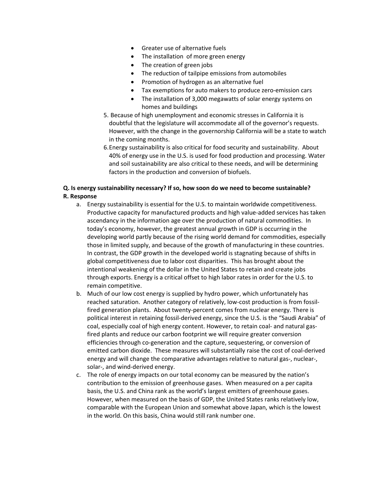- Greater use of alternative fuels
- The installation of more green energy
- The creation of green jobs
- The reduction of tailpipe emissions from automobiles
- Promotion of hydrogen as an alternative fuel
- Tax exemptions for auto makers to produce zero-emission cars
- The installation of 3,000 megawatts of solar energy systems on homes and buildings
- 5. Because of high unemployment and economic stresses in California it is doubtful that the legislature will accommodate all of the governor's requests. However, with the change in the governorship California will be a state to watch in the coming months.
- 6.Energy sustainability is also critical for food security and sustainability. About 40% of energy use in the U.S. is used for food production and processing. Water and soil sustainability are also critical to these needs, and will be determining factors in the production and conversion of biofuels.

# Q. Is energy sustainability necessary? If so, how soon do we need to become sustainable? R. Response

- a. Energy sustainability is essential for the U.S. to maintain worldwide competitiveness. Productive capacity for manufactured products and high value-added services has taken ascendancy in the information age over the production of natural commodities. In today's economy, however, the greatest annual growth in GDP is occurring in the developing world partly because of the rising world demand for commodities, especially those in limited supply, and because of the growth of manufacturing in these countries. In contrast, the GDP growth in the developed world is stagnating because of shifts in global competitiveness due to labor cost disparities. This has brought about the intentional weakening of the dollar in the United States to retain and create jobs through exports. Energy is a critical offset to high labor rates in order for the U.S. to remain competitive.
- b. Much of our low cost energy is supplied by hydro power, which unfortunately has reached saturation. Another category of relatively, low-cost production is from fossilfired generation plants. About twenty-percent comes from nuclear energy. There is political interest in retaining fossil-derived energy, since the U.S. is the "Saudi Arabia" of coal, especially coal of high energy content. However, to retain coal- and natural gasfired plants and reduce our carbon footprint we will require greater conversion efficiencies through co-generation and the capture, sequestering, or conversion of emitted carbon dioxide. These measures will substantially raise the cost of coal-derived energy and will change the comparative advantages relative to natural gas-, nuclear-, solar-, and wind-derived energy.
- c. The role of energy impacts on our total economy can be measured by the nation's contribution to the emission of greenhouse gases. When measured on a per capita basis, the U.S. and China rank as the world's largest emitters of greenhouse gases. However, when measured on the basis of GDP, the United States ranks relatively low, comparable with the European Union and somewhat above Japan, which is the lowest in the world. On this basis, China would still rank number one.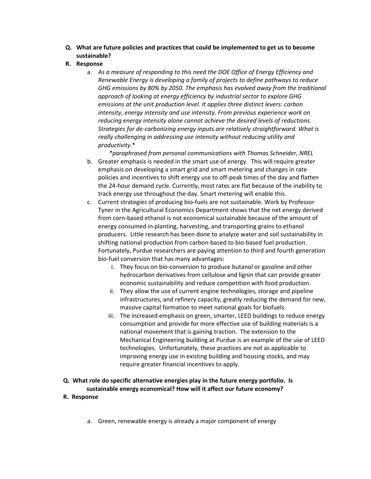Q. What are future policies and practices that could be implemented to get us to become sustainable?

#### R. Response

a. As a measure of responding to this need the DOE Office of Energy Efficiency and Renewable Energy is developing a family of projects to define pathways to reduce GHG emissions by 80% by 2050. The emphasis has evolved away from the traditional approach of looking at energy efficiency by industrial sector to explore GHG emissions at the unit production level. It applies three distinct levers: carbon intensity, energy intensity and use intensity. From previous experience work on reducing energy intensity alone cannot achieve the desired levels of reductions. Strategies for de-carbonizing energy inputs are relatively straightforward. What is really challenging in addressing use intensity without reducing utility and productivity.\*

\*paraphrased from personal communications with Thomas Schneider, NREL

- b. Greater emphasis is needed in the smart use of energy. This will require greater emphasis on developing a smart grid and smart metering and changes in rate policies and incentives to shift energy use to off-peak times of the day and flatten the 24-hour demand cycle. Currently, most rates are flat because of the inability to track energy use throughout the day. Smart metering will enable this.
- c. Current strategies of producing bio-fuels are not sustainable. Work by Professor Tyner in the Agricultural Economics Department shows that the net energy derived from corn-based ethanol is not economical sustainable because of the amount of energy consumed in planting, harvesting, and transporting grains to ethanol producers. Little research has been done to analyze water and soil sustainability in shifting national production from carbon-based to bio-based fuel production. Fortunately, Purdue researchers are paying attention to third and fourth generation bio-fuel conversion that has many advantages:
	- i. They focus on bio-conversion to produce butanol or gasoline and other hydrocarbon derivatives from cellulose and lignin that can provide greater economic sustainability and reduce competition with food production.
	- ii. They allow the use of current engine technologies, storage and pipeline infrastructures, and refinery capacity, greatly reducing the demand for new, massive capital formation to meet national goals for biofuels.
	- iii. The increased emphasis on green, smarter, LEED buildings to reduce energy consumption and provide for more effective use of building materials is a national movement that is gaining traction. The extension to the Mechanical Engineering building at Purdue is an example of the use of LEED technologies. Unfortunately, these practices are not as applicable to improving energy use in existing building and housing stocks, and may require greater financial incentives to apply.
- Q. What role do specific alternative energies play in the future energy portfolio. Is sustainable energy economical? How will it affect our future economy?
- R. Response
	- a. Green, renewable energy is already a major component of energy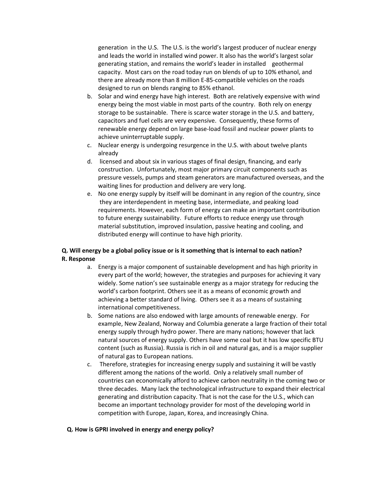generation in the U.S. The U.S. is the world's largest producer of nuclear energy and leads the world in installed wind power. It also has the world's largest solar generating station, and remains the world's leader in installed geothermal capacity. Most cars on the road today run on blends of up to 10% ethanol, and there are already more than 8 million E-85-compatible vehicles on the roads designed to run on blends ranging to 85% ethanol.

- b. Solar and wind energy have high interest. Both are relatively expensive with wind energy being the most viable in most parts of the country. Both rely on energy storage to be sustainable. There is scarce water storage in the U.S. and battery, capacitors and fuel cells are very expensive. Consequently, these forms of renewable energy depend on large base-load fossil and nuclear power plants to achieve uninterruptable supply.
- c. Nuclear energy is undergoing resurgence in the U.S. with about twelve plants already
- d. licensed and about six in various stages of final design, financing, and early construction. Unfortunately, most major primary circuit components such as pressure vessels, pumps and steam generators are manufactured overseas, and the waiting lines for production and delivery are very long.
- e. No one energy supply by itself will be dominant in any region of the country, since they are interdependent in meeting base, intermediate, and peaking load requirements. However, each form of energy can make an important contribution to future energy sustainability. Future efforts to reduce energy use through material substitution, improved insulation, passive heating and cooling, and distributed energy will continue to have high priority.

# Q. Will energy be a global policy issue or is it something that is internal to each nation? R. Response

- a. Energy is a major component of sustainable development and has high priority in every part of the world; however, the strategies and purposes for achieving it vary widely. Some nation's see sustainable energy as a major strategy for reducing the world's carbon footprint. Others see it as a means of economic growth and achieving a better standard of living. Others see it as a means of sustaining international competitiveness.
- b. Some nations are also endowed with large amounts of renewable energy. For example, New Zealand, Norway and Columbia generate a large fraction of their total energy supply through hydro power. There are many nations; however that lack natural sources of energy supply. Others have some coal but it has low specific BTU content (such as Russia). Russia is rich in oil and natural gas, and is a major supplier of natural gas to European nations.
- c. Therefore, strategies for increasing energy supply and sustaining it will be vastly different among the nations of the world. Only a relatively small number of countries can economically afford to achieve carbon neutrality in the coming two or three decades. Many lack the technological infrastructure to expand their electrical generating and distribution capacity. That is not the case for the U.S., which can become an important technology provider for most of the developing world in competition with Europe, Japan, Korea, and increasingly China.

#### Q. How is GPRI involved in energy and energy policy?